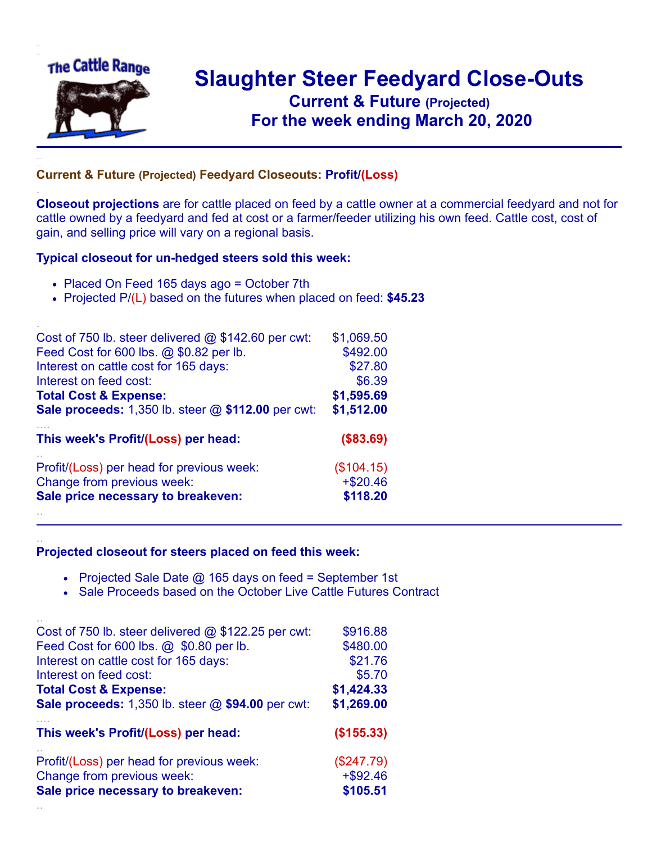

.

..

## **Slaughter Steer Feedyard Close-Outs Current & Future (Projected)** .**For the week ending March 20, 2020**

## **Current & Future (Projected) Feedyard Closeouts: Profit/(Loss)**

**Closeout projections** are for cattle placed on feed by a cattle owner at a commercial feedyard and not for cattle owned by a feedyard and fed at cost or a farmer/feeder utilizing his own feed. Cattle cost, cost of gain, and selling price will vary on a regional basis.

## **Typical closeout for un-hedged steers sold this week:**

- Placed On Feed 165 days ago = October 7th
- Projected P/(L) based on the futures when placed on feed: **\$45.23**

| Cost of 750 lb. steer delivered $@$ \$142.60 per cwt: | \$1,069.50 |
|-------------------------------------------------------|------------|
| Feed Cost for 600 lbs. @ \$0.82 per lb.               | \$492.00   |
| Interest on cattle cost for 165 days:                 | \$27.80    |
| Interest on feed cost:                                | \$6.39     |
| <b>Total Cost &amp; Expense:</b>                      | \$1,595.69 |
| Sale proceeds: 1,350 lb. steer @ \$112.00 per cwt:    | \$1,512.00 |
| This week's Profit/(Loss) per head:                   | (\$83.69)  |
| Profit/(Loss) per head for previous week:             | (\$104.15) |
| Change from previous week:                            | $+ $20.46$ |
| Sale price necessary to breakeven:                    | \$118.20   |
|                                                       |            |

## **Projected closeout for steers placed on feed this week:**

- Projected Sale Date  $@$  165 days on feed = September 1st
- Sale Proceeds based on the October Live Cattle Futures Contract

| Cost of 750 lb. steer delivered $@$ \$122.25 per cwt: | \$916.88    |
|-------------------------------------------------------|-------------|
| Feed Cost for 600 lbs. @ \$0.80 per lb.               | \$480.00    |
| Interest on cattle cost for 165 days:                 | \$21.76     |
| Interest on feed cost:                                | \$5.70      |
| <b>Total Cost &amp; Expense:</b>                      | \$1,424.33  |
| Sale proceeds: 1,350 lb. steer @ \$94.00 per cwt:     | \$1,269.00  |
| This week's Profit/(Loss) per head:                   | (\$155.33)  |
| Profit/(Loss) per head for previous week:             | (\$247.79)  |
| Change from previous week:                            | $+$ \$92.46 |
| Sale price necessary to breakeven:                    | \$105.51    |
|                                                       |             |